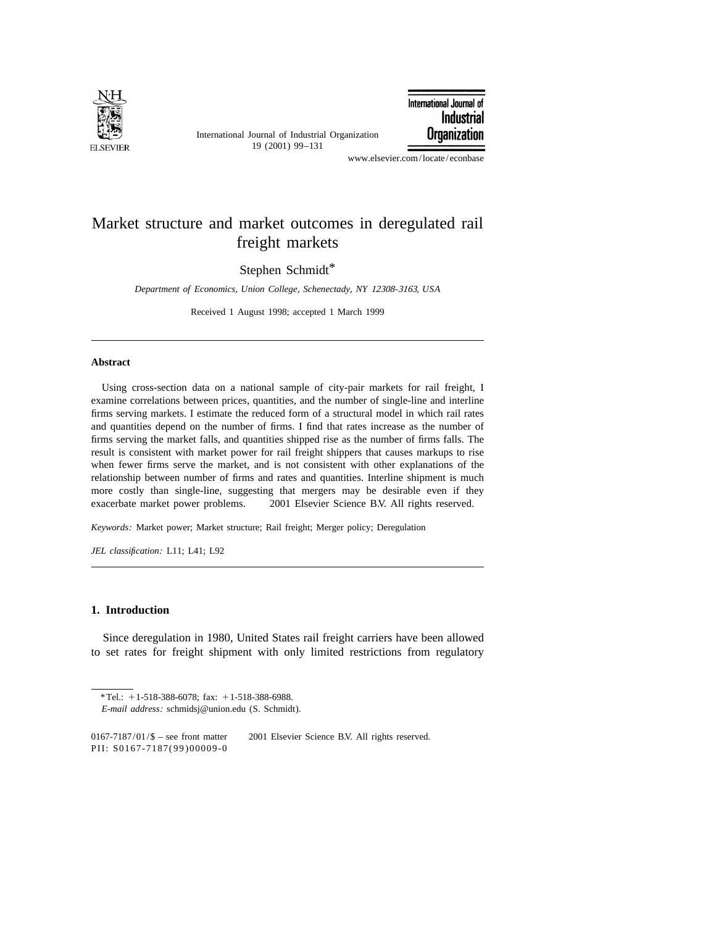

International Journal of Industrial Organization 19 (2001) 99–131

International Journal of **Industrial Organization** 

www.elsevier.com/locate/econbase

## Market structure and market outcomes in deregulated rail freight markets

Stephen Schmidt\*

*Department of Economics*, *Union College*, *Schenectady*, *NY* <sup>12308</sup>-3163, *USA*

Received 1 August 1998; accepted 1 March 1999

## **Abstract**

Using cross-section data on a national sample of city-pair markets for rail freight, I examine correlations between prices, quantities, and the number of single-line and interline firms serving markets. I estimate the reduced form of a structural model in which rail rates and quantities depend on the number of firms. I find that rates increase as the number of firms serving the market falls, and quantities shipped rise as the number of firms falls. The result is consistent with market power for rail freight shippers that causes markups to rise when fewer firms serve the market, and is not consistent with other explanations of the relationship between number of firms and rates and quantities. Interline shipment is much more costly than single-line, suggesting that mergers may be desirable even if they exacerbate market power problems.  $\oslash$  2001 Elsevier Science B.V. All rights reserved.

*Keywords*: Market power; Market structure; Rail freight; Merger policy; Deregulation

*JEL classification*: L11; L41; L92

## **1. Introduction**

Since deregulation in 1980, United States rail freight carriers have been allowed to set rates for freight shipment with only limited restrictions from regulatory

<sup>\*</sup>Tel.:  $+1-518-388-6078$ ; fax:  $+1-518-388-6988$ .

*E*-*mail address*: schmidsj@union.edu (S. Schmidt).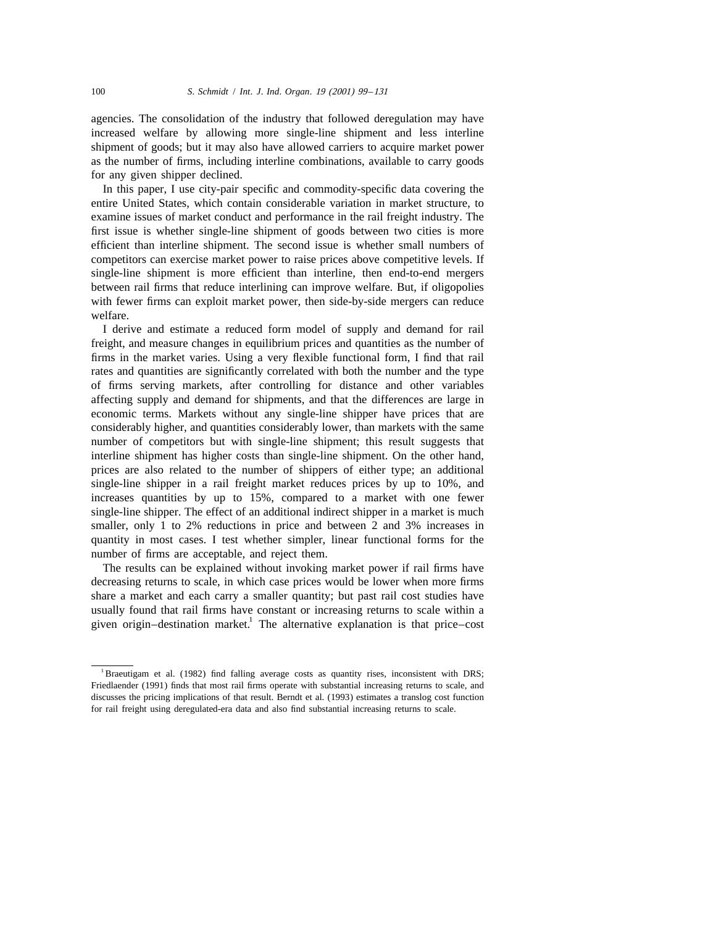agencies. The consolidation of the industry that followed deregulation may have increased welfare by allowing more single-line shipment and less interline shipment of goods; but it may also have allowed carriers to acquire market power as the number of firms, including interline combinations, available to carry goods for any given shipper declined.

In this paper, I use city-pair specific and commodity-specific data covering the entire United States, which contain considerable variation in market structure, to examine issues of market conduct and performance in the rail freight industry. The first issue is whether single-line shipment of goods between two cities is more efficient than interline shipment. The second issue is whether small numbers of competitors can exercise market power to raise prices above competitive levels. If single-line shipment is more efficient than interline, then end-to-end mergers between rail firms that reduce interlining can improve welfare. But, if oligopolies with fewer firms can exploit market power, then side-by-side mergers can reduce welfare.

I derive and estimate a reduced form model of supply and demand for rail freight, and measure changes in equilibrium prices and quantities as the number of firms in the market varies. Using a very flexible functional form, I find that rail rates and quantities are significantly correlated with both the number and the type of firms serving markets, after controlling for distance and other variables affecting supply and demand for shipments, and that the differences are large in economic terms. Markets without any single-line shipper have prices that are considerably higher, and quantities considerably lower, than markets with the same number of competitors but with single-line shipment; this result suggests that interline shipment has higher costs than single-line shipment. On the other hand, prices are also related to the number of shippers of either type; an additional single-line shipper in a rail freight market reduces prices by up to 10%, and increases quantities by up to 15%, compared to a market with one fewer single-line shipper. The effect of an additional indirect shipper in a market is much smaller, only 1 to 2% reductions in price and between 2 and 3% increases in quantity in most cases. I test whether simpler, linear functional forms for the number of firms are acceptable, and reject them.

The results can be explained without invoking market power if rail firms have decreasing returns to scale, in which case prices would be lower when more firms share a market and each carry a smaller quantity; but past rail cost studies have usually found that rail firms have constant or increasing returns to scale within a given origin–destination market.<sup>1</sup> The alternative explanation is that price–cost

<sup>&</sup>lt;sup>1</sup>Braeutigam et al. (1982) find falling average costs as quantity rises, inconsistent with DRS; Friedlaender (1991) finds that most rail firms operate with substantial increasing returns to scale, and discusses the pricing implications of that result. Berndt et al. (1993) estimates a translog cost function for rail freight using deregulated-era data and also find substantial increasing returns to scale.